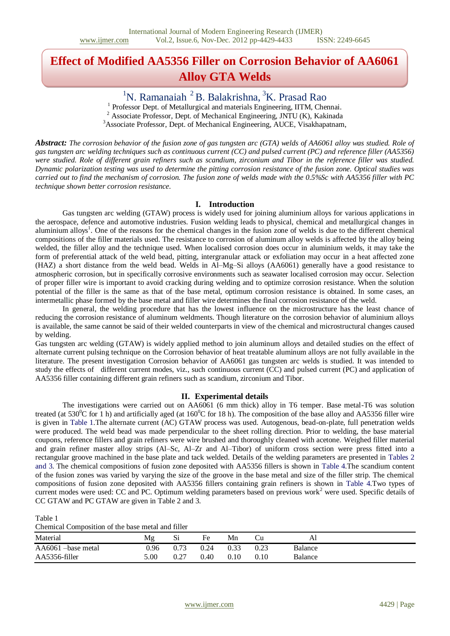# **Effect of Modified AA5356 Filler on Corrosion Behavior of AA6061 Alloy GTA Welds**

 $1$ N. Ramanaiah  $2$  B. Balakrishna,  $3$ K. Prasad Rao

<sup>1</sup> Professor Dept. of Metallurgical and materials Engineering, IITM, Chennai. <sup>2</sup> Associate Professor, Dept. of Mechanical Engineering, JNTU (K), Kakinada

<sup>3</sup>Associate Professor, Dept. of Mechanical Engineering, AUCE, Visakhapatnam,

*Abstract: The corrosion behavior of the fusion zone of gas tungsten arc (GTA) welds of AA6061 alloy was studied. Role of gas tungsten arc welding techniques such as continuous current (CC) and pulsed current (PC) and reference filler (AA5356) were studied. Role of different grain refiners such as scandium, zirconium and Tibor in the reference filler was studied. Dynamic polarization testing was used to determine the pitting corrosion resistance of the fusion zone. Optical studies was carried out to find the mechanism of corrosion. The fusion zone of welds made with the 0.5%Sc with AA5356 filler with PC technique shown better corrosion resistance.*

#### **I. Introduction**

Gas tungsten arc welding (GTAW) process is widely used for joining aluminium alloys for various applications in the aerospace, defence and automotive industries. Fusion welding leads to physical, chemical and metallurgical changes in aluminium alloys<sup>1</sup>. One of the reasons for the chemical changes in the fusion zone of welds is due to the different chemical compositions of the filler materials used. The resistance to corrosion of aluminum alloy welds is affected by the alloy being welded, the filler alloy and the technique used. When localised corrosion does occur in aluminium welds, it may take the form of preferential attack of the weld bead, pitting, intergranular attack or exfoliation may occur in a heat affected zone (HAZ) a short distance from the weld bead. Welds in Al–Mg–Si alloys (AA6061) generally have a good resistance to atmospheric corrosion, but in specifically corrosive environments such as seawater localised corrosion may occur. Selection of proper filler wire is important to avoid cracking during welding and to optimize corrosion resistance. When the solution potential of the filler is the same as that of the base metal, optimum corrosion resistance is obtained. In some cases, an intermetallic phase formed by the base metal and filler wire determines the final corrosion resistance of the weld.

In general, the welding procedure that has the lowest influence on the microstructure has the least chance of reducing the corrosion resistance of aluminum weldments. Though literature on the corrosion behavior of aluminium alloys is available, the same cannot be said of their welded counterparts in view of the chemical and microstructural changes caused by welding.

Gas tungsten arc welding (GTAW) is widely applied method to join aluminum alloys and detailed studies on the effect of alternate current pulsing technique on the Corrosion behavior of heat treatable aluminum alloys are not fully available in the literature. The present investigation Corrosion behavior of AA6061 gas tungsten arc welds is studied. It was intended to study the effects of different current modes, viz., such continuous current (CC) and pulsed current (PC) and application of AA5356 filler containing different grain refiners such as scandium, zirconium and Tibor.

#### **II. Experimental details**

The investigations were carried out on AA6061 (6 mm thick) alloy in T6 temper. Base metal-T6 was solution treated (at  $530^{\circ}$ C for 1 h) and artificially aged (at  $160^{\circ}$ C for 18 h). The composition of the base alloy and AA5356 filler wire is given in Table 1.The alternate current (AC) GTAW process was used. Autogenous, bead-on-plate, full penetration welds were produced. The weld bead was made perpendicular to the sheet rolling direction. Prior to welding, the base material coupons, reference fillers and grain refiners were wire brushed and thoroughly cleaned with acetone. Weighed filler material and grain refiner master alloy strips (Al–Sc, Al–Zr and Al–Tibor) of uniform cross section were press fitted into a rectangular groove machined in the base plate and tack welded. Details of the welding parameters are presented in Tables 2 and 3. The chemical compositions of fusion zone deposited with AA5356 fillers is shown in Table 4.The scandium content of the fusion zones was varied by varying the size of the groove in the base metal and size of the filler strip. The chemical compositions of fusion zone deposited with AA5356 fillers containing grain refiners is shown in Table 4.Two types of current modes were used: CC and PC. Optimum welding parameters based on previous work<sup>2</sup> were used. Specific details of CC GTAW and PC GTAW are given in Table 2 and 3.

Table 1 cal Composition of the base metal and filler

| Chemical Composition of the base metal and mile |      |      |      |      |      |                |  |  |
|-------------------------------------------------|------|------|------|------|------|----------------|--|--|
| Material                                        | Mg   |      | Fe   | Mn   |      | ΑI             |  |  |
| AA6061 -base metal                              | 0.96 |      | 0.24 | 0.33 | 0.23 | <b>Balance</b> |  |  |
| AA5356-filler                                   | 5.00 | 0.27 | 0.40 | 0.10 | 0.10 | <b>Balance</b> |  |  |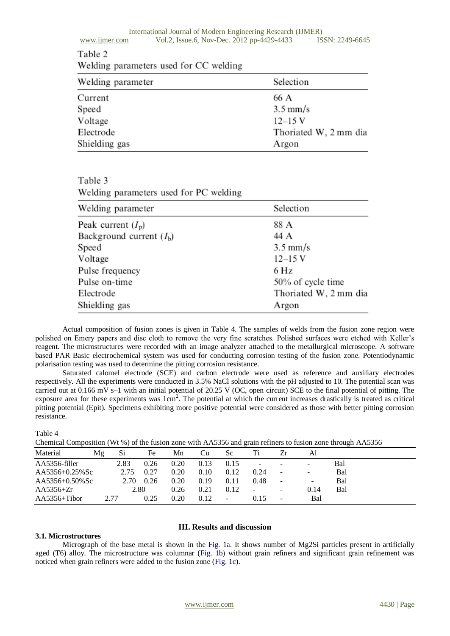# Table 2

Welding parameters used for CC welding

| Welding parameter | Selection             |
|-------------------|-----------------------|
| Current           | 66 A                  |
| Speed             | $3.5 \text{ mm/s}$    |
| Voltage           | $12 - 15$ V           |
| Electrode         | Thoriated W, 2 mm dia |
| Shielding gas     | Argon                 |

## Table 3 Welding parameters used for PC welding

| Welding parameter         | Selection             |
|---------------------------|-----------------------|
| Peak current $(I_p)$      | 88 A                  |
| Background current $(Ib)$ | 44 A                  |
| Speed                     | $3.5 \text{ mm/s}$    |
| Voltage                   | $12 - 15$ V           |
| Pulse frequency           | 6 Hz                  |
| Pulse on-time             | 50% of cycle time     |
| Electrode                 | Thoriated W, 2 mm dia |
| Shielding gas             | Argon                 |

Actual composition of fusion zones is given in Table 4. The samples of welds from the fusion zone region were polished on Emery papers and disc cloth to remove the very fine scratches. Polished surfaces were etched with Keller's reagent. The microstructures were recorded with an image analyzer attached to the metallurgical microscope. A software based PAR Basic electrochemical system was used for conducting corrosion testing of the fusion zone. Potentiodynamic polarisation testing was used to determine the pitting corrosion resistance.

Saturated calomel electrode (SCE) and carbon electrode were used as reference and auxiliary electrodes respectively. All the experiments were conducted in 3.5% NaCl solutions with the pH adjusted to 10. The potential scan was carried out at 0.166 mV s–1 with an initial potential of 20.25 V (OC, open circuit) SCE to the final potential of pitting. The exposure area for these experiments was  $1cm<sup>2</sup>$ . The potential at which the current increases drastically is treated as critical pitting potential (Epit). Specimens exhibiting more positive potential were considered as those with better pitting corrosion resistance.

#### Table 4

Chemical Composition (Wt %) of the fusion zone with AA5356 and grain refiners to fusion zone through AA5356

| Material       | Mg   | Si   | Fe   | Mn   | Сu   | Sc   | Ti                       |                          | Al                       |     |
|----------------|------|------|------|------|------|------|--------------------------|--------------------------|--------------------------|-----|
| AA5356-filler  |      | 2.83 | 0.26 | 0.20 | 0.13 | 0.15 | -                        | $\overline{\phantom{a}}$ | ۰.                       | Bal |
| AA5356+0.25%Sc |      | 2.75 | 0.27 | 0.20 | 0.10 | 0.12 | 0.24                     | $\sim$                   | $\sim$                   | Bal |
| AA5356+0.50%Sc |      | 2.70 | 0.26 | 0.20 | 0.19 | 0.11 | 0.48                     | $\overline{\phantom{a}}$ | $\overline{\phantom{a}}$ | Bal |
| $AA5356+Zr$    |      | 2.80 |      | 0.26 | 0.21 | 0.12 | $\overline{\phantom{a}}$ | $\overline{\phantom{a}}$ | 0.14                     | Bal |
| $AA5356+Tibor$ | 2.77 |      | 0.25 | 0.20 | 0.12 | ۰    | 0.15                     | $\overline{\phantom{a}}$ | Bal                      |     |

#### **3.1. Microstructures**

### **III. Results and discussion**

Micrograph of the base metal is shown in the Fig. 1a. It shows number of Mg2Si particles present in artificially aged (T6) alloy. The microstructure was columnar (Fig. 1b) without grain refiners and significant grain refinement was noticed when grain refiners were added to the fusion zone (Fig. 1c).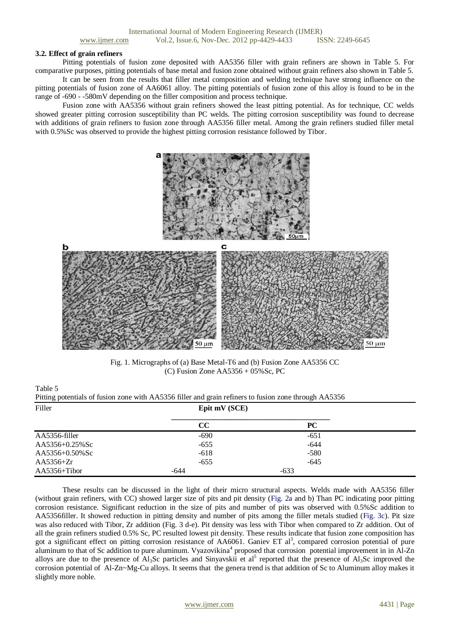#### **3.2. Effect of grain refiners**

Pitting potentials of fusion zone deposited with AA5356 filler with grain refiners are shown in Table 5. For comparative purposes, pitting potentials of base metal and fusion zone obtained without grain refiners also shown in Table 5.

It can be seen from the results that filler metal composition and welding technique have strong influence on the pitting potentials of fusion zone of AA6061 alloy. The pitting potentials of fusion zone of this alloy is found to be in the range of -690 - -580mV depending on the filler composition and process technique.

Fusion zone with AA5356 without grain refiners showed the least pitting potential. As for technique, CC welds showed greater pitting corrosion susceptibility than PC welds. The pitting corrosion susceptibility was found to decrease with additions of grain refiners to fusion zone through AA5356 filler metal. Among the grain refiners studied filler metal with 0.5%Sc was observed to provide the highest pitting corrosion resistance followed by Tibor.



Fig. 1. Micrographs of (a) Base Metal-T6 and (b) Fusion Zone AA5356 CC (C) Fusion Zone AA5356 + 05%Sc, PC

Table 5

| Pitting potentials of fusion zone with AA5356 filler and grain refiners to fusion zone through AA5356 |               |    |  |  |
|-------------------------------------------------------------------------------------------------------|---------------|----|--|--|
| Filler                                                                                                | Epit mV (SCE) |    |  |  |
|                                                                                                       |               | РC |  |  |

|                | UU     | rv     |  |
|----------------|--------|--------|--|
| AA5356-filler  | $-690$ | $-651$ |  |
| AA5356+0.25%Sc | $-655$ | -644   |  |
| AA5356+0.50%Sc | $-618$ | $-580$ |  |
| AA5356+ $Zr$   | $-655$ | $-645$ |  |
| $AA5356+Tibor$ | -644   | $-633$ |  |

These results can be discussed in the light of their micro structural aspects. Welds made with AA5356 filler (without grain refiners, with CC) showed larger size of pits and pit density (Fig. 2a and b) Than PC indicating poor pitting corrosion resistance. Significant reduction in the size of pits and number of pits was observed with 0.5%Sc addition to AA5356filler. It showed reduction in pitting density and number of pits among the filler metals studied (Fig. 3c). Pit size was also reduced with Tibor, Zr addition (Fig. 3 d-e). Pit density was less with Tibor when compared to Zr addition. Out of all the grain refiners studied 0.5% Sc, PC resulted lowest pit density. These results indicate that fusion zone composition has got a significant effect on pitting corrosion resistance of AA6061. Ganiev ET al<sup>3</sup>, compared corrosion potential of pure aluminum to that of Sc addition to pure aluminum. Vyazovikina<sup>4</sup> proposed that corrosion potential improvement in in Al-Zn alloys are due to the presence of  $Al_3Sc$  particles and Sinyavskii et al<sup>5</sup> reported that the presence of  $Al_3Sc$  improved the corrosion potential of Al-Zn~Mg-Cu alloys. It seems that the genera trend is that addition of Sc to Aluminum alloy makes it slightly more noble.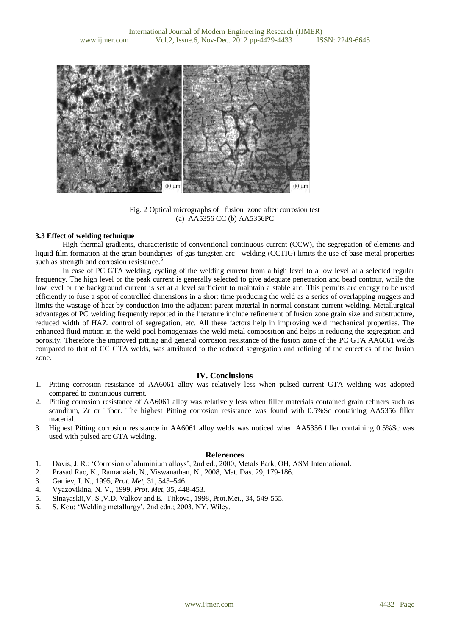

Fig. 2 Optical micrographs of fusion zone after corrosion test (a) AA5356 CC (b) AA5356PC

#### **3.3 Effect of welding technique**

High thermal gradients, characteristic of conventional continuous current (CCW), the segregation of elements and liquid film formation at the grain boundaries of gas tungsten arc welding (CCTIG) limits the use of base metal properties such as strength and corrosion resistance.<sup>6</sup>

In case of PC GTA welding, cycling of the welding current from a high level to a low level at a selected regular frequency. The high level or the peak current is generally selected to give adequate penetration and bead contour, while the low level or the background current is set at a level sufficient to maintain a stable arc. This permits arc energy to be used efficiently to fuse a spot of controlled dimensions in a short time producing the weld as a series of overlapping nuggets and limits the wastage of heat by conduction into the adjacent parent material in normal constant current welding. Metallurgical advantages of PC welding frequently reported in the literature include refinement of fusion zone grain size and substructure, reduced width of HAZ, control of segregation, etc. All these factors help in improving weld mechanical properties. The enhanced fluid motion in the weld pool homogenizes the weld metal composition and helps in reducing the segregation and porosity. Therefore the improved pitting and general corrosion resistance of the fusion zone of the PC GTA AA6061 welds compared to that of CC GTA welds, was attributed to the reduced segregation and refining of the eutectics of the fusion zone.

#### **IV. Conclusions**

- 1. Pitting corrosion resistance of AA6061 alloy was relatively less when pulsed current GTA welding was adopted compared to continuous current.
- 2. Pitting corrosion resistance of AA6061 alloy was relatively less when filler materials contained grain refiners such as scandium, Zr or Tibor. The highest Pitting corrosion resistance was found with 0.5%Sc containing AA5356 filler material.
- 3. Highest Pitting corrosion resistance in AA6061 alloy welds was noticed when AA5356 filler containing 0.5%Sc was used with pulsed arc GTA welding.

#### **References**

- 1. Davis, J. R.: 'Corrosion of aluminium alloys', 2nd ed., 2000, Metals Park, OH, ASM International.
- 2. Prasad Rao, K., Ramanaiah, N., Viswanathan, N., 2008, Mat. Das. 29, 179-186.
- 3. Ganiev, I. N., 1995, *Prot. Met,* 31, 543–546.
- 4. Vyazovikina, N. V., 1999, *Prot. Met,* 35, 448-453.
- 5. Sinayaskii,V. S.,V.D. Valkov and E. Titkova, 1998, Prot.Met., 34, 549-555.
- 6. S. Kou: 'Welding metallurgy', 2nd edn.; 2003, NY, Wiley.